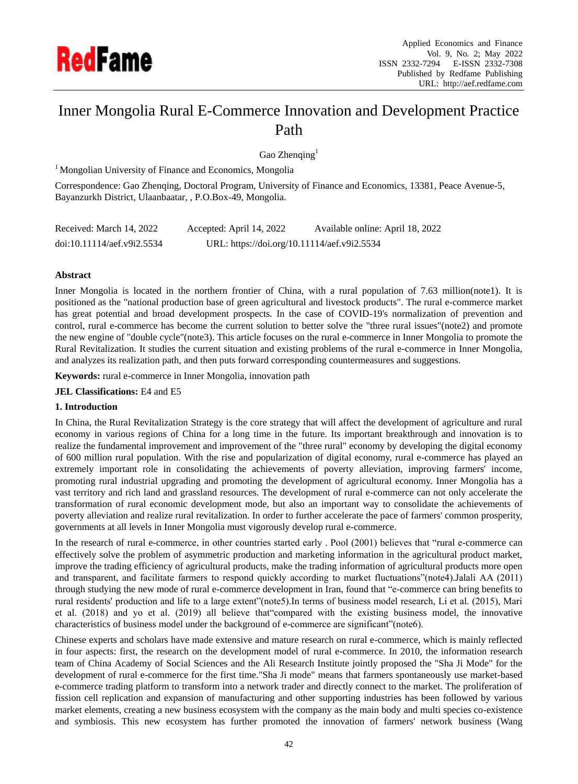

# Inner Mongolia Rural E-Commerce Innovation and Development Practice Path

Gao Zhenqing $<sup>1</sup>$ </sup>

<sup>1</sup> Mongolian University of Finance and Economics, Mongolia

Correspondence: Gao Zhenqing, Doctoral Program, University of Finance and Economics, 13381, Peace Avenue-5, Bayanzurkh District, Ulaanbaatar, , P.O.Box-49, Mongolia.

| Received: March 14, 2022   | Accepted: April 14, 2022                    | Available online: April 18, 2022 |
|----------------------------|---------------------------------------------|----------------------------------|
| doi:10.11114/aef.v9i2.5534 | URL: https://doi.org/10.11114/aef.v9i2.5534 |                                  |

# **Abstract**

Inner Mongolia is located in the northern frontier of China, with a rural population of 7.63 million(note1). It is positioned as the "national production base of green agricultural and livestock products". The rural e-commerce market has great potential and broad development prospects. In the case of COVID-19's normalization of prevention and control, rural e-commerce has become the current solution to better solve the "three rural issues"(note2) and promote the new engine of "double cycle"(note3). This article focuses on the rural e-commerce in Inner Mongolia to promote the Rural Revitalization. It studies the current situation and existing problems of the rural e-commerce in Inner Mongolia, and analyzes its realization path, and then puts forward corresponding countermeasures and suggestions.

**Keywords:** rural e-commerce in Inner Mongolia, innovation path

**JEL Classifications:** E4 and E5

# **1. Introduction**

In China, the Rural Revitalization Strategy is the core strategy that will affect the development of agriculture and rural economy in various regions of China for a long time in the future. Its important breakthrough and innovation is to realize the fundamental improvement and improvement of the "three rural" economy by developing the digital economy of 600 million rural population. With the rise and popularization of digital economy, rural e-commerce has played an extremely important role in consolidating the achievements of poverty alleviation, improving farmers' income, promoting rural industrial upgrading and promoting the development of agricultural economy. Inner Mongolia has a vast territory and rich land and grassland resources. The development of rural e-commerce can not only accelerate the transformation of rural economic development mode, but also an important way to consolidate the achievements of poverty alleviation and realize rural revitalization. In order to further accelerate the pace of farmers' common prosperity, governments at all levels in Inner Mongolia must vigorously develop rural e-commerce.

In the research of rural e-commerce, in other countries started early . Pool (2001) believes that "rural e-commerce can effectively solve the problem of asymmetric production and marketing information in the agricultural product market, improve the trading efficiency of agricultural products, make the trading information of agricultural products more open and transparent, and facilitate farmers to respond quickly according to market fluctuations"(note4).Jalali AA (2011) through studying the new mode of rural e-commerce development in Iran, found that "e-commerce can bring benefits to rural residents' production and life to a large extent"(note5).In terms of business model research, Li et al. (2015), Mari et al. (2018) and yo et al. (2019) all believe that"compared with the existing business model, the innovative characteristics of business model under the background of e-commerce are significant"(note6).

Chinese experts and scholars have made extensive and mature research on rural e-commerce, which is mainly reflected in four aspects: first, the research on the development model of rural e-commerce. In 2010, the information research team of China Academy of Social Sciences and the Ali Research Institute jointly proposed the "Sha Ji Mode" for the development of rural e-commerce for the first time."Sha Ji mode" means that farmers spontaneously use market-based e-commerce trading platform to transform into a network trader and directly connect to the market. The proliferation of fission cell replication and expansion of manufacturing and other supporting industries has been followed by various market elements, creating a new business ecosystem with the company as the main body and multi species co-existence and symbiosis. This new ecosystem has further promoted the innovation of farmers' network business (Wang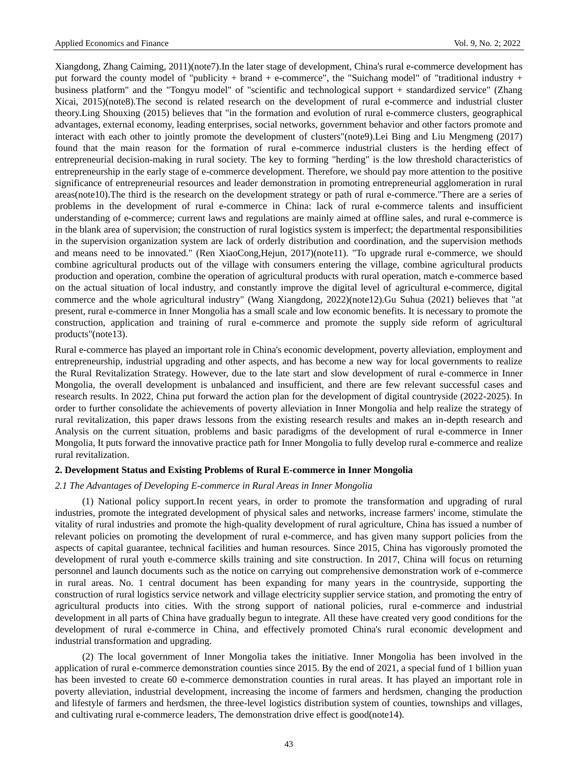Xiangdong, Zhang Caiming, 2011)(note7).In the later stage of development, China's rural e-commerce development has put forward the county model of "publicity + brand + e-commerce", the "Suichang model" of "traditional industry + business platform" and the "Tongyu model" of "scientific and technological support + standardized service" (Zhang Xicai, 2015)(note8).The second is related research on the development of rural e-commerce and industrial cluster theory.Ling Shouxing (2015) believes that "in the formation and evolution of rural e-commerce clusters, geographical advantages, external economy, leading enterprises, social networks, government behavior and other factors promote and interact with each other to jointly promote the development of clusters"(note9).Lei Bing and Liu Mengmeng (2017) found that the main reason for the formation of rural e-commerce industrial clusters is the herding effect of entrepreneurial decision-making in rural society. The key to forming "herding" is the low threshold characteristics of entrepreneurship in the early stage of e-commerce development. Therefore, we should pay more attention to the positive significance of entrepreneurial resources and leader demonstration in promoting entrepreneurial agglomeration in rural areas(note10).The third is the research on the development strategy or path of rural e-commerce."There are a series of problems in the development of rural e-commerce in China: lack of rural e-commerce talents and insufficient understanding of e-commerce; current laws and regulations are mainly aimed at offline sales, and rural e-commerce is in the blank area of supervision; the construction of rural logistics system is imperfect; the departmental responsibilities in the supervision organization system are lack of orderly distribution and coordination, and the supervision methods and means need to be innovated." (Ren XiaoCong,Hejun, 2017)(note11). "To upgrade rural e-commerce, we should combine agricultural products out of the village with consumers entering the village, combine agricultural products production and operation, combine the operation of agricultural products with rural operation, match e-commerce based on the actual situation of local industry, and constantly improve the digital level of agricultural e-commerce, digital commerce and the whole agricultural industry" (Wang Xiangdong, 2022)(note12).Gu Suhua (2021) believes that "at present, rural e-commerce in Inner Mongolia has a small scale and low economic benefits. It is necessary to promote the construction, application and training of rural e-commerce and promote the supply side reform of agricultural products"(note13).

Rural e-commerce has played an important role in China's economic development, poverty alleviation, employment and entrepreneurship, industrial upgrading and other aspects, and has become a new way for local governments to realize the Rural Revitalization Strategy. However, due to the late start and slow development of rural e-commerce in Inner Mongolia, the overall development is unbalanced and insufficient, and there are few relevant successful cases and research results. In 2022, China put forward the action plan for the development of digital countryside (2022-2025). In order to further consolidate the achievements of poverty alleviation in Inner Mongolia and help realize the strategy of rural revitalization, this paper draws lessons from the existing research results and makes an in-depth research and Analysis on the current situation, problems and basic paradigms of the development of rural e-commerce in Inner Mongolia, It puts forward the innovative practice path for Inner Mongolia to fully develop rural e-commerce and realize rural revitalization.

## **2. Development Status and Existing Problems of Rural E-commerce in Inner Mongolia**

## *2.1 The Advantages of Developing E-commerce in Rural Areas in Inner Mongolia*

(1) National policy support.In recent years, in order to promote the transformation and upgrading of rural industries, promote the integrated development of physical sales and networks, increase farmers' income, stimulate the vitality of rural industries and promote the high-quality development of rural agriculture, China has issued a number of relevant policies on promoting the development of rural e-commerce, and has given many support policies from the aspects of capital guarantee, technical facilities and human resources. Since 2015, China has vigorously promoted the development of rural youth e-commerce skills training and site construction. In 2017, China will focus on returning personnel and launch documents such as the notice on carrying out comprehensive demonstration work of e-commerce in rural areas. No. 1 central document has been expanding for many years in the countryside, supporting the construction of rural logistics service network and village electricity supplier service station, and promoting the entry of agricultural products into cities. With the strong support of national policies, rural e-commerce and industrial development in all parts of China have gradually begun to integrate. All these have created very good conditions for the development of rural e-commerce in China, and effectively promoted China's rural economic development and industrial transformation and upgrading.

(2) The local government of Inner Mongolia takes the initiative. Inner Mongolia has been involved in the application of rural e-commerce demonstration counties since 2015. By the end of 2021, a special fund of 1 billion yuan has been invested to create 60 e-commerce demonstration counties in rural areas. It has played an important role in poverty alleviation, industrial development, increasing the income of farmers and herdsmen, changing the production and lifestyle of farmers and herdsmen, the three-level logistics distribution system of counties, townships and villages, and cultivating rural e-commerce leaders, The demonstration drive effect is good(note14).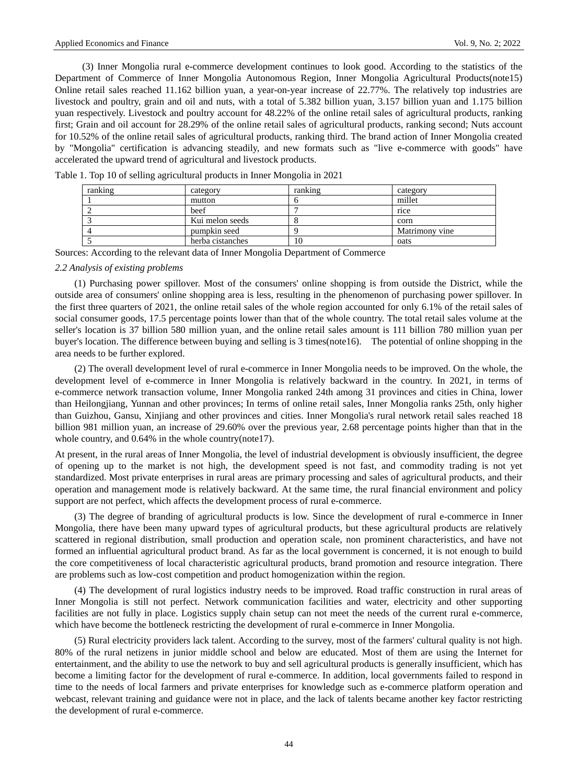(3) Inner Mongolia rural e-commerce development continues to look good. According to the statistics of the Department of Commerce of Inner Mongolia Autonomous Region, Inner Mongolia Agricultural Products(note15) Online retail sales reached 11.162 billion yuan, a year-on-year increase of 22.77%. The relatively top industries are livestock and poultry, grain and oil and nuts, with a total of 5.382 billion yuan, 3.157 billion yuan and 1.175 billion yuan respectively. Livestock and poultry account for 48.22% of the online retail sales of agricultural products, ranking first; Grain and oil account for 28.29% of the online retail sales of agricultural products, ranking second; Nuts account for 10.52% of the online retail sales of agricultural products, ranking third. The brand action of Inner Mongolia created by "Mongolia" certification is advancing steadily, and new formats such as "live e-commerce with goods" have accelerated the upward trend of agricultural and livestock products.

| ranking | category         | ranking | category       |
|---------|------------------|---------|----------------|
|         | mutton           |         | millet         |
|         | beef             |         | rice           |
|         | Kui melon seeds  |         | corn           |
|         | pumpkin seed     |         | Matrimony vine |
|         | herba cistanches | 10      | oats           |

Table 1. Top 10 of selling agricultural products in Inner Mongolia in 2021

Sources: According to the relevant data of Inner Mongolia Department of Commerce

#### *2.2 Analysis of existing problems*

 (1) Purchasing power spillover. Most of the consumers' online shopping is from outside the District, while the outside area of consumers' online shopping area is less, resulting in the phenomenon of purchasing power spillover. In the first three quarters of 2021, the online retail sales of the whole region accounted for only 6.1% of the retail sales of social consumer goods, 17.5 percentage points lower than that of the whole country. The total retail sales volume at the seller's location is 37 billion 580 million yuan, and the online retail sales amount is 111 billion 780 million yuan per buyer's location. The difference between buying and selling is 3 times(note16). The potential of online shopping in the area needs to be further explored.

(2) The overall development level of rural e-commerce in Inner Mongolia needs to be improved. On the whole, the development level of e-commerce in Inner Mongolia is relatively backward in the country. In 2021, in terms of e-commerce network transaction volume, Inner Mongolia ranked 24th among 31 provinces and cities in China, lower than Heilongjiang, Yunnan and other provinces; In terms of online retail sales, Inner Mongolia ranks 25th, only higher than Guizhou, Gansu, Xinjiang and other provinces and cities. Inner Mongolia's rural network retail sales reached 18 billion 981 million yuan, an increase of 29.60% over the previous year, 2.68 percentage points higher than that in the whole country, and 0.64% in the whole country(note17).

At present, in the rural areas of Inner Mongolia, the level of industrial development is obviously insufficient, the degree of opening up to the market is not high, the development speed is not fast, and commodity trading is not yet standardized. Most private enterprises in rural areas are primary processing and sales of agricultural products, and their operation and management mode is relatively backward. At the same time, the rural financial environment and policy support are not perfect, which affects the development process of rural e-commerce.

(3) The degree of branding of agricultural products is low. Since the development of rural e-commerce in Inner Mongolia, there have been many upward types of agricultural products, but these agricultural products are relatively scattered in regional distribution, small production and operation scale, non prominent characteristics, and have not formed an influential agricultural product brand. As far as the local government is concerned, it is not enough to build the core competitiveness of local characteristic agricultural products, brand promotion and resource integration. There are problems such as low-cost competition and product homogenization within the region.

(4) The development of rural logistics industry needs to be improved. Road traffic construction in rural areas of Inner Mongolia is still not perfect. Network communication facilities and water, electricity and other supporting facilities are not fully in place. Logistics supply chain setup can not meet the needs of the current rural e-commerce, which have become the bottleneck restricting the development of rural e-commerce in Inner Mongolia.

(5) Rural electricity providers lack talent. According to the survey, most of the farmers' cultural quality is not high. 80% of the rural netizens in junior middle school and below are educated. Most of them are using the Internet for entertainment, and the ability to use the network to buy and sell agricultural products is generally insufficient, which has become a limiting factor for the development of rural e-commerce. In addition, local governments failed to respond in time to the needs of local farmers and private enterprises for knowledge such as e-commerce platform operation and webcast, relevant training and guidance were not in place, and the lack of talents became another key factor restricting the development of rural e-commerce.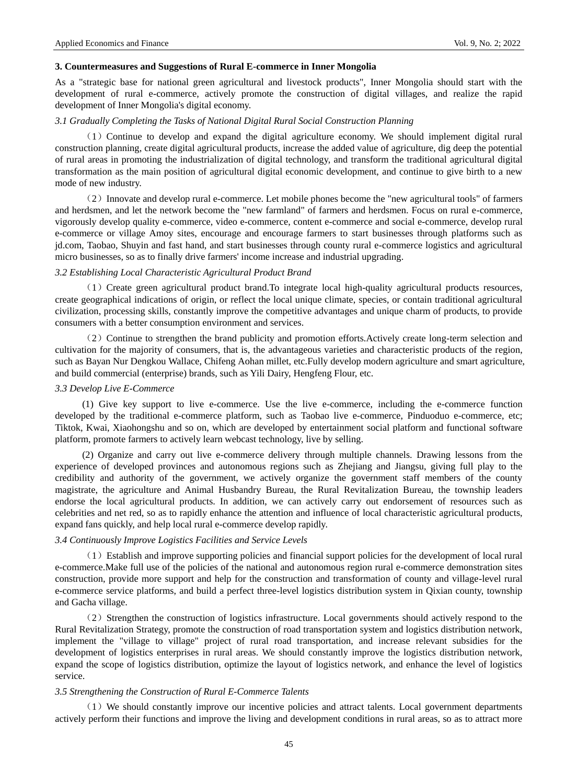#### **3. Countermeasures and Suggestions of Rural E-commerce in Inner Mongolia**

As a "strategic base for national green agricultural and livestock products", Inner Mongolia should start with the development of rural e-commerce, actively promote the construction of digital villages, and realize the rapid development of Inner Mongolia's digital economy.

# *3.1 Gradually Completing the Tasks of National Digital Rural Social Construction Planning*

(1)Continue to develop and expand the digital agriculture economy. We should implement digital rural construction planning, create digital agricultural products, increase the added value of agriculture, dig deep the potential of rural areas in promoting the industrialization of digital technology, and transform the traditional agricultural digital transformation as the main position of agricultural digital economic development, and continue to give birth to a new mode of new industry.

(2)Innovate and develop rural e-commerce. Let mobile phones become the "new agricultural tools" of farmers and herdsmen, and let the network become the "new farmland" of farmers and herdsmen. Focus on rural e-commerce, vigorously develop quality e-commerce, video e-commerce, content e-commerce and social e-commerce, develop rural e-commerce or village Amoy sites, encourage and encourage farmers to start businesses through platforms such as jd.com, Taobao, Shuyin and fast hand, and start businesses through county rural e-commerce logistics and agricultural micro businesses, so as to finally drive farmers' income increase and industrial upgrading.

# *3.2 Establishing Local Characteristic Agricultural Product Brand*

(1)Create green agricultural product brand.To integrate local high-quality agricultural products resources, create geographical indications of origin, or reflect the local unique climate, species, or contain traditional agricultural civilization, processing skills, constantly improve the competitive advantages and unique charm of products, to provide consumers with a better consumption environment and services.

(2)Continue to strengthen the brand publicity and promotion efforts.Actively create long-term selection and cultivation for the majority of consumers, that is, the advantageous varieties and characteristic products of the region, such as Bayan Nur Dengkou Wallace, Chifeng Aohan millet, etc.Fully develop modern agriculture and smart agriculture, and build commercial (enterprise) brands, such as Yili Dairy, Hengfeng Flour, etc.

#### *3.3 Develop Live E-Commerce*

(1) Give key support to live e-commerce. Use the live e-commerce, including the e-commerce function developed by the traditional e-commerce platform, such as Taobao live e-commerce, Pinduoduo e-commerce, etc; Tiktok, Kwai, Xiaohongshu and so on, which are developed by entertainment social platform and functional software platform, promote farmers to actively learn webcast technology, live by selling.

(2) Organize and carry out live e-commerce delivery through multiple channels. Drawing lessons from the experience of developed provinces and autonomous regions such as Zhejiang and Jiangsu, giving full play to the credibility and authority of the government, we actively organize the government staff members of the county magistrate, the agriculture and Animal Husbandry Bureau, the Rural Revitalization Bureau, the township leaders endorse the local agricultural products. In addition, we can actively carry out endorsement of resources such as celebrities and net red, so as to rapidly enhance the attention and influence of local characteristic agricultural products, expand fans quickly, and help local rural e-commerce develop rapidly.

#### *3.4 Continuously Improve Logistics Facilities and Service Levels*

(1)Establish and improve supporting policies and financial support policies for the development of local rural e-commerce.Make full use of the policies of the national and autonomous region rural e-commerce demonstration sites construction, provide more support and help for the construction and transformation of county and village-level rural e-commerce service platforms, and build a perfect three-level logistics distribution system in Qixian county, township and Gacha village.

(2)Strengthen the construction of logistics infrastructure. Local governments should actively respond to the Rural Revitalization Strategy, promote the construction of road transportation system and logistics distribution network, implement the "village to village" project of rural road transportation, and increase relevant subsidies for the development of logistics enterprises in rural areas. We should constantly improve the logistics distribution network, expand the scope of logistics distribution, optimize the layout of logistics network, and enhance the level of logistics service.

#### *3.5 Strengthening the Construction of Rural E-Commerce Talents*

(1)We should constantly improve our incentive policies and attract talents. Local government departments actively perform their functions and improve the living and development conditions in rural areas, so as to attract more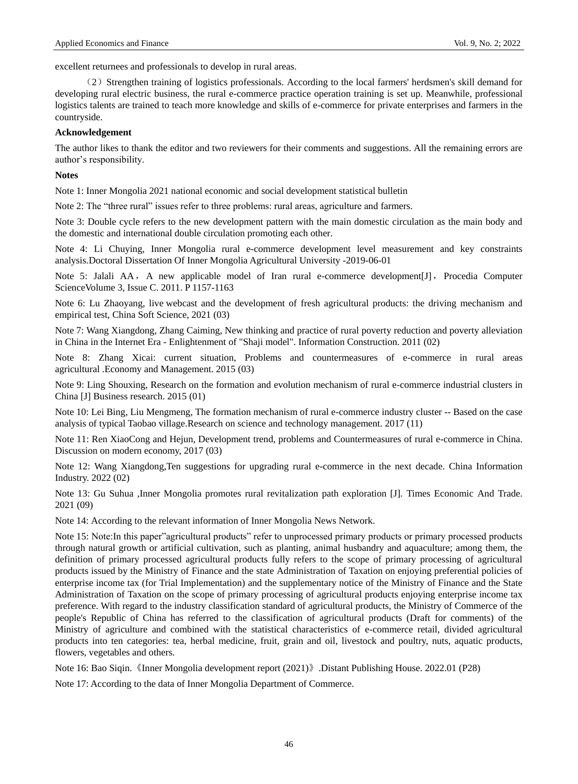excellent returnees and professionals to develop in rural areas.

(2)Strengthen training of logistics professionals. According to the local farmers' herdsmen's skill demand for developing rural electric business, the rural e-commerce practice operation training is set up. Meanwhile, professional logistics talents are trained to teach more knowledge and skills of e-commerce for private enterprises and farmers in the countryside.

# **Acknowledgement**

The author likes to thank the editor and two reviewers for their comments and suggestions. All the remaining errors are author's responsibility.

### **Notes**

Note 1: Inner Mongolia 2021 national economic and social development statistical bulletin

Note 2: The "three rural" issues refer to three problems: rural areas, agriculture and farmers.

Note 3: Double cycle refers to the new development pattern with the main domestic circulation as the main body and the domestic and international double circulation promoting each other.

Note 4: Li Chuying, Inner Mongolia rural e-commerce development level measurement and key constraints analysis.Doctoral Dissertation Of Inner Mongolia Agricultural University -2019-06-01

Note 5: Jalali AA, A new applicable model of Iran rural e-commerce development[J], Procedia Computer ScienceVolume 3, Issue C. 2011. P 1157-1163

Note 6: Lu Zhaoyang, live webcast and the development of fresh agricultural products: the driving mechanism and empirical test, China Soft Science, 2021 (03)

Note 7: Wang Xiangdong, Zhang Caiming, New thinking and practice of rural poverty reduction and poverty alleviation in China in the Internet Era - Enlightenment of "Shaji model". Information Construction. 2011 (02)

Note 8: Zhang Xicai: current situation, Problems and countermeasures of e-commerce in rural areas agricultural .Economy and Management. 2015 (03)

Note 9: Ling Shouxing, Research on the formation and evolution mechanism of rural e-commerce industrial clusters in China [J] Business research. 2015 (01)

Note 10: Lei Bing, Liu Mengmeng, The formation mechanism of rural e-commerce industry cluster -- Based on the case analysis of typical Taobao village.Research on science and technology management. 2017 (11)

Note 11: Ren XiaoCong and Hejun, Development trend, problems and Countermeasures of rural e-commerce in China. Discussion on modern economy, 2017 (03)

Note 12: Wang Xiangdong,Ten suggestions for upgrading rural e-commerce in the next decade. China Information Industry. 2022 (02)

Note 13: Gu Suhua ,Inner Mongolia promotes rural revitalization path exploration [J]. Times Economic And Trade. 2021 (09)

Note 14: According to the relevant information of Inner Mongolia News Network.

Note 15: Note:In this paper"agricultural products" refer to unprocessed primary products or primary processed products through natural growth or artificial cultivation, such as planting, animal husbandry and aquaculture; among them, the definition of primary processed agricultural products fully refers to the scope of primary processing of agricultural products issued by the Ministry of Finance and the state Administration of Taxation on enjoying preferential policies of enterprise income tax (for Trial Implementation) and the supplementary notice of the Ministry of Finance and the State Administration of Taxation on the scope of primary processing of agricultural products enjoying enterprise income tax preference. With regard to the industry classification standard of agricultural products, the Ministry of Commerce of the people's Republic of China has referred to the classification of agricultural products (Draft for comments) of the Ministry of agriculture and combined with the statistical characteristics of e-commerce retail, divided agricultural products into ten categories: tea, herbal medicine, fruit, grain and oil, livestock and poultry, nuts, aquatic products, flowers, vegetables and others.

Note 16: Bao Siqin.《Inner Mongolia development report (2021)》.Distant Publishing House. 2022.01 (P28)

Note 17: According to the data of Inner Mongolia Department of Commerce.